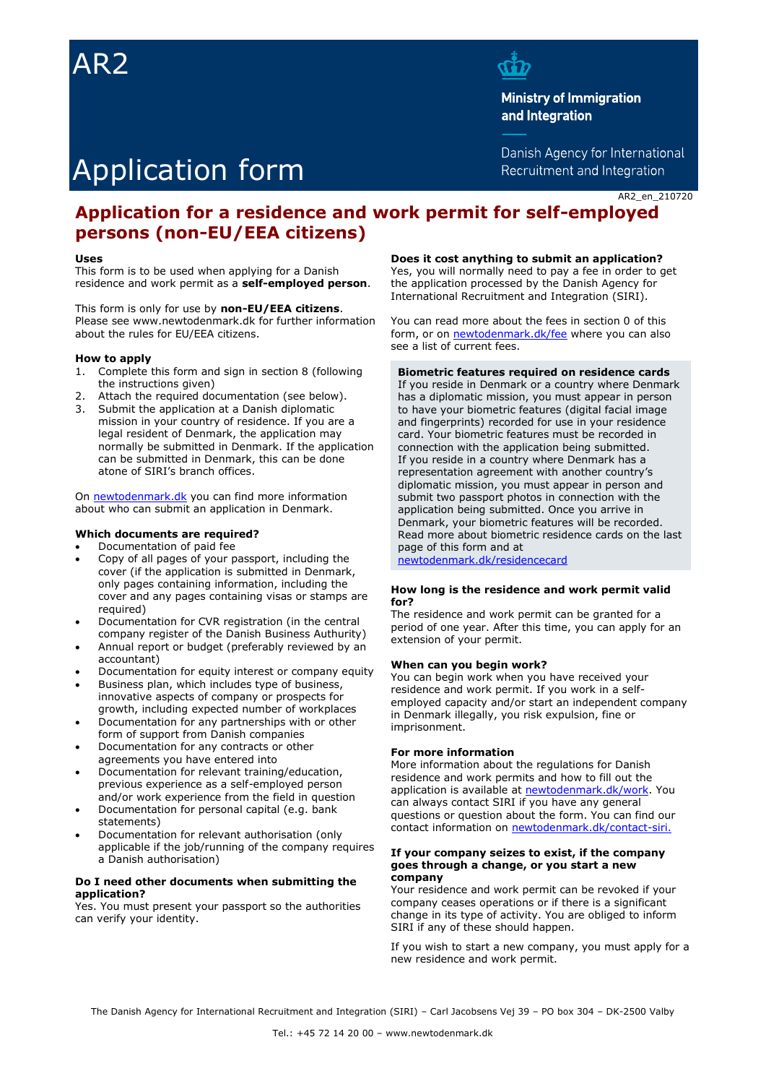# AR2



**Ministry of Immigration** and Integration

Danish Agency for International Recruitment and Integration

# Application form

AR2\_en\_210720

# **Application for a residence and work permit for self-employed persons (non-EU/EEA citizens)**

#### **Uses**

This form is to be used when applying for a Danish residence and work permit as a **self-employed person**.

This form is only for use by **non-EU/EEA citizens**. Please see www.newtodenmark.dk for further information about the rules for EU/EEA citizens.

#### **How to apply**

- 1. Complete this form and sign in section 8 (following the instructions given)
- 2. Attach the required documentation (see below).
- 3. Submit the application at a Danish diplomatic mission in your country of residence. If you are a legal resident of Denmark, the application may normally be submitted in Denmark. If the application can be submitted in Denmark, this can be done atone of SIRI's branch offices.

On [newtodenmark.dk](https://www.newtodenmark.dk/) you can find more information about who can submit an application in Denmark.

#### **Which documents are required?**

- Documentation of paid fee
- Copy of all pages of your passport, including the cover (if the application is submitted in Denmark, only pages containing information, including the cover and any pages containing visas or stamps are required)
- Documentation for CVR registration (in the central company register of the Danish Business Authurity)
- Annual report or budget (preferably reviewed by an accountant)
- Documentation for equity interest or company equity
- Business plan, which includes type of business, innovative aspects of company or prospects for growth, including expected number of workplaces
- Documentation for any partnerships with or other form of support from Danish companies
- Documentation for any contracts or other agreements you have entered into
- Documentation for relevant training/education, previous experience as a self-employed person and/or work experience from the field in question
- Documentation for personal capital (e.g. bank statements)
- Documentation for relevant authorisation (only applicable if the job/running of the company requires a Danish authorisation)

#### **Do I need other documents when submitting the application?**

Yes. You must present your passport so the authorities can verify your identity.

**Does it cost anything to submit an application?**

Yes, you will normally need to pay a fee in order to get the application processed by the Danish Agency for International Recruitment and Integration (SIRI).

You can read more about the fees in section 0 of this form, or on [newtodenmark.dk/fee](http://www.newtodenmark.dk/fee) where you can also see a list of current fees.

#### **Biometric features required on residence cards**

If you reside in Denmark or a country where Denmark has a diplomatic mission, you must appear in person to have your biometric features (digital facial image and fingerprints) recorded for use in your residence card. Your biometric features must be recorded in connection with the application being submitted. If you reside in a country where Denmark has a representation agreement with another country's diplomatic mission, you must appear in person and submit two passport photos in connection with the application being submitted. Once you arrive in Denmark, your biometric features will be recorded. Read more about biometric residence cards on the last page of this form and at [newtodenmark.dk/residencecard](http://www.newtodenmark.dk/residencecard)

#### **How long is the residence and work permit valid for?**

The residence and work permit can be granted for a period of one year. After this time, you can apply for an extension of your permit.

#### **When can you begin work?**

You can begin work when you have received your residence and work permit. If you work in a selfemployed capacity and/or start an independent company in Denmark illegally, you risk expulsion, fine or imprisonment.

#### **For more information**

More information about the regulations for Danish residence and work permits and how to fill out the application is available at [newtodenmark.dk/work.](http://www.newtodenmark.dk/work) You can always contact SIRI if you have any general questions or question about the form. You can find our contact information on [newtodenmark.dk/contact-siri.](http://www.newtodenmark.dk/contact-siri)

#### **If your company seizes to exist, if the company goes through a change, or you start a new company**

Your residence and work permit can be revoked if your company ceases operations or if there is a significant change in its type of activity. You are obliged to inform SIRI if any of these should happen.

If you wish to start a new company, you must apply for a new residence and work permit.

The Danish Agency for International Recruitment and Integration (SIRI) – Carl Jacobsens Vej 39 – PO box 304 – DK-2500 Valby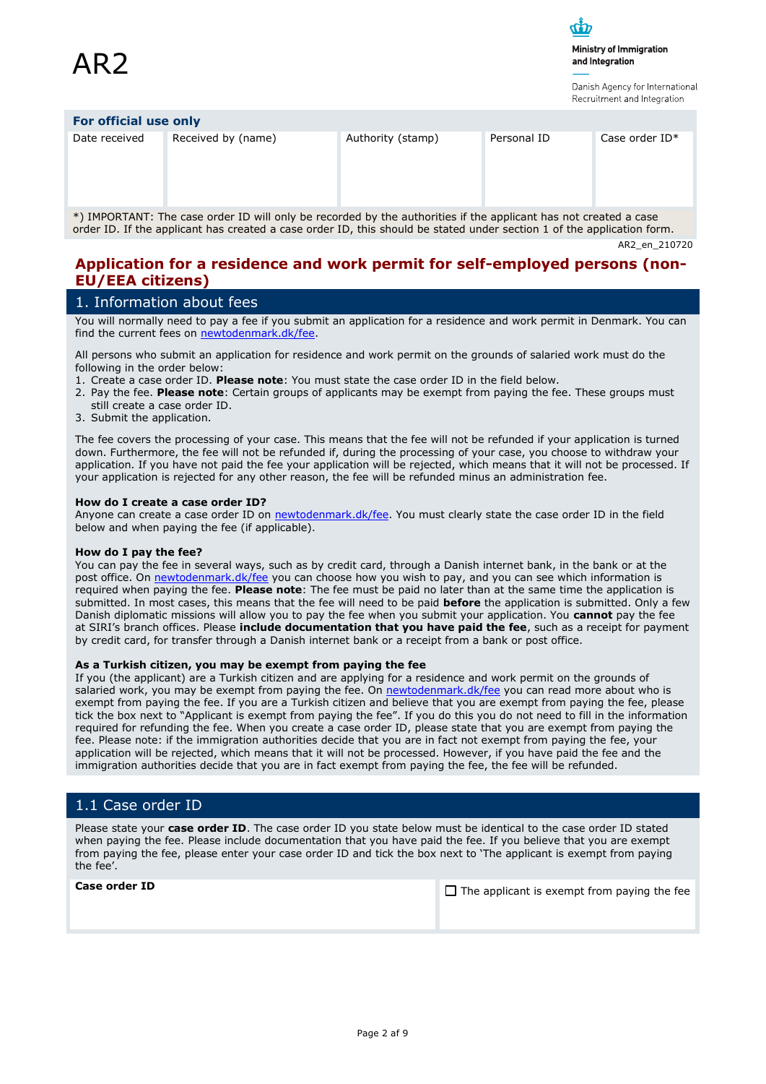Ministry of Immigration and Integration

Danish Agency for International

|                       |                    |                   |             | TICAL MITTICHE QHU INTERNATIONI |  |  |
|-----------------------|--------------------|-------------------|-------------|---------------------------------|--|--|
| For official use only |                    |                   |             |                                 |  |  |
| Date received         | Received by (name) | Authority (stamp) | Personal ID | Case order $ID^*$               |  |  |

\*) IMPORTANT: The case order ID will only be recorded by the authorities if the applicant has not created a case order ID. If the applicant has created a case order ID, this should be stated under section 1 of the application form.

AR2\_en\_210720

## **Application for a residence and work permit for self-employed persons (non-EU/EEA citizens)**

# 1. Information about fees

You will normally need to pay a fee if you submit an application for a residence and work permit in Denmark. You can find the current fees on [newtodenmark.dk/fee.](http://www.newtodenmark.dk/fee)

All persons who submit an application for residence and work permit on the grounds of salaried work must do the following in the order below:

- 1. Create a case order ID. **Please note**: You must state the case order ID in the field below.
- 2. Pay the fee. **Please note**: Certain groups of applicants may be exempt from paying the fee. These groups must still create a case order ID.
- 3. Submit the application.

The fee covers the processing of your case. This means that the fee will not be refunded if your application is turned down. Furthermore, the fee will not be refunded if, during the processing of your case, you choose to withdraw your application. If you have not paid the fee your application will be rejected, which means that it will not be processed. If your application is rejected for any other reason, the fee will be refunded minus an administration fee.

#### **How do I create a case order ID?**

Anyone can create a case order ID on [newtodenmark.dk/fee.](http://www.newtodenmark.dk/fee) You must clearly state the case order ID in the field below and when paying the fee (if applicable).

#### **How do I pay the fee?**

You can pay the fee in several ways, such as by credit card, through a Danish internet bank, in the bank or at the post office. On [newtodenmark.dk/fee](http://www.newtodenmark.dk/fee) you can choose how you wish to pay, and you can see which information is required when paying the fee. **Please note**: The fee must be paid no later than at the same time the application is submitted. In most cases, this means that the fee will need to be paid **before** the application is submitted. Only a few Danish diplomatic missions will allow you to pay the fee when you submit your application. You **cannot** pay the fee at SIRI's branch offices. Please **include documentation that you have paid the fee**, such as a receipt for payment by credit card, for transfer through a Danish internet bank or a receipt from a bank or post office.

#### **As a Turkish citizen, you may be exempt from paying the fee**

If you (the applicant) are a Turkish citizen and are applying for a residence and work permit on the grounds of salaried work, you may be exempt from paying the fee. On [newtodenmark.dk/fee](http://www.newtodenmark.dk/fee) you can read more about who is exempt from paying the fee. If you are a Turkish citizen and believe that you are exempt from paying the fee, please tick the box next to "Applicant is exempt from paying the fee". If you do this you do not need to fill in the information required for refunding the fee. When you create a case order ID, please state that you are exempt from paying the fee. Please note: if the immigration authorities decide that you are in fact not exempt from paying the fee, your application will be rejected, which means that it will not be processed. However, if you have paid the fee and the immigration authorities decide that you are in fact exempt from paying the fee, the fee will be refunded.

# 1.1 Case order ID

Please state your **case order ID**. The case order ID you state below must be identical to the case order ID stated when paying the fee. Please include documentation that you have paid the fee. If you believe that you are exempt from paying the fee, please enter your case order ID and tick the box next to 'The applicant is exempt from paying the fee'.

| <b>Case order ID</b> | $\Box$ The applicant is exempt from paying the fee |
|----------------------|----------------------------------------------------|
|                      |                                                    |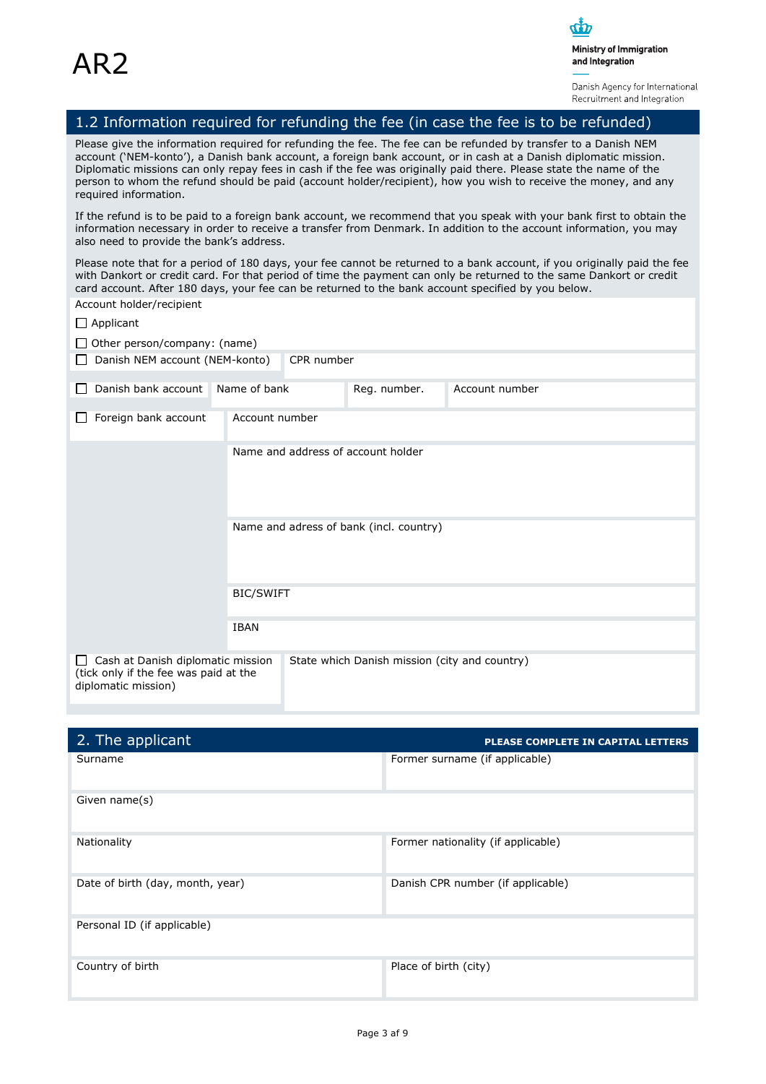Danish Agency for International Recruitment and Integration

# 1.2 Information required for refunding the fee (in case the fee is to be refunded)

Please give the information required for refunding the fee. The fee can be refunded by transfer to a Danish NEM account ('NEM-konto'), a Danish bank account, a foreign bank account, or in cash at a Danish diplomatic mission. Diplomatic missions can only repay fees in cash if the fee was originally paid there. Please state the name of the person to whom the refund should be paid (account holder/recipient), how you wish to receive the money, and any required information.

If the refund is to be paid to a foreign bank account, we recommend that you speak with your bank first to obtain the information necessary in order to receive a transfer from Denmark. In addition to the account information, you may also need to provide the bank's address.

Please note that for a period of 180 days, your fee cannot be returned to a bank account, if you originally paid the fee with Dankort or credit card. For that period of time the payment can only be returned to the same Dankort or credit card account. After 180 days, your fee can be returned to the bank account specified by you below.

| Account holder/recipient                                                                                     |                  |                                         |                                               |                |  |
|--------------------------------------------------------------------------------------------------------------|------------------|-----------------------------------------|-----------------------------------------------|----------------|--|
| $\Box$ Applicant                                                                                             |                  |                                         |                                               |                |  |
| $\Box$ Other person/company: (name)                                                                          |                  |                                         |                                               |                |  |
| CPR number<br>Danish NEM account (NEM-konto)<br>$\perp$                                                      |                  |                                         |                                               |                |  |
| Danish bank account<br>$\mathsf{L}$                                                                          | Name of bank     |                                         | Reg. number.                                  | Account number |  |
| Foreign bank account                                                                                         | Account number   |                                         |                                               |                |  |
|                                                                                                              |                  |                                         | Name and address of account holder            |                |  |
|                                                                                                              |                  | Name and adress of bank (incl. country) |                                               |                |  |
|                                                                                                              | <b>BIC/SWIFT</b> |                                         |                                               |                |  |
|                                                                                                              | <b>IBAN</b>      |                                         |                                               |                |  |
| Cash at Danish diplomatic mission<br>$\perp$<br>(tick only if the fee was paid at the<br>diplomatic mission) |                  |                                         | State which Danish mission (city and country) |                |  |

| 2. The applicant                 | PLEASE COMPLETE IN CAPITAL LETTERS |
|----------------------------------|------------------------------------|
| Surname                          | Former surname (if applicable)     |
| Given name(s)                    |                                    |
| Nationality                      | Former nationality (if applicable) |
| Date of birth (day, month, year) | Danish CPR number (if applicable)  |
| Personal ID (if applicable)      |                                    |
| Country of birth                 | Place of birth (city)              |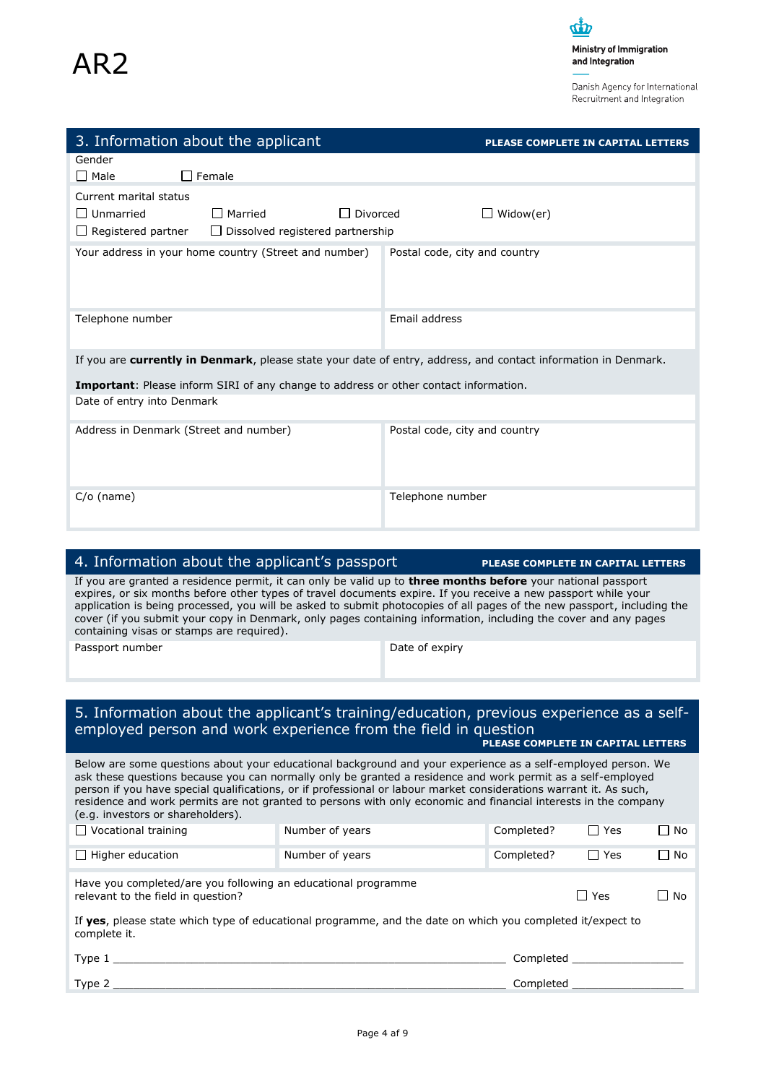Danish Agency for International Recruitment and Integration

| 3. Information about the applicant                                                                                                                                                                                                                                                                                                                                                                                                                                                                                               |                                         |                               | <b>PLEASE COMPLETE IN CAPITAL LETTERS</b> |                               |           |
|----------------------------------------------------------------------------------------------------------------------------------------------------------------------------------------------------------------------------------------------------------------------------------------------------------------------------------------------------------------------------------------------------------------------------------------------------------------------------------------------------------------------------------|-----------------------------------------|-------------------------------|-------------------------------------------|-------------------------------|-----------|
| Gender                                                                                                                                                                                                                                                                                                                                                                                                                                                                                                                           |                                         |                               |                                           |                               |           |
| $\Box$ Female<br><b>Nale</b>                                                                                                                                                                                                                                                                                                                                                                                                                                                                                                     |                                         |                               |                                           |                               |           |
|                                                                                                                                                                                                                                                                                                                                                                                                                                                                                                                                  |                                         |                               |                                           |                               |           |
| Current marital status                                                                                                                                                                                                                                                                                                                                                                                                                                                                                                           |                                         |                               |                                           |                               |           |
| $\Box$ Unmarried<br>$\Box$ Married                                                                                                                                                                                                                                                                                                                                                                                                                                                                                               | □ Divorced                              |                               | $\Box$ Widow(er)                          |                               |           |
| $\Box$ Registered partner                                                                                                                                                                                                                                                                                                                                                                                                                                                                                                        | $\Box$ Dissolved registered partnership |                               |                                           |                               |           |
| Your address in your home country (Street and number)                                                                                                                                                                                                                                                                                                                                                                                                                                                                            |                                         | Postal code, city and country |                                           |                               |           |
| Telephone number                                                                                                                                                                                                                                                                                                                                                                                                                                                                                                                 |                                         | Email address                 |                                           |                               |           |
| If you are currently in Denmark, please state your date of entry, address, and contact information in Denmark.                                                                                                                                                                                                                                                                                                                                                                                                                   |                                         |                               |                                           |                               |           |
| <b>Important:</b> Please inform SIRI of any change to address or other contact information.<br>Date of entry into Denmark                                                                                                                                                                                                                                                                                                                                                                                                        |                                         |                               |                                           |                               |           |
| Address in Denmark (Street and number)                                                                                                                                                                                                                                                                                                                                                                                                                                                                                           |                                         | Postal code, city and country |                                           |                               |           |
| $C/O$ (name)                                                                                                                                                                                                                                                                                                                                                                                                                                                                                                                     |                                         | Telephone number              |                                           |                               |           |
|                                                                                                                                                                                                                                                                                                                                                                                                                                                                                                                                  |                                         |                               |                                           |                               |           |
|                                                                                                                                                                                                                                                                                                                                                                                                                                                                                                                                  |                                         |                               |                                           |                               |           |
| 4. Information about the applicant's passport                                                                                                                                                                                                                                                                                                                                                                                                                                                                                    |                                         |                               | PLEASE COMPLETE IN CAPITAL LETTERS        |                               |           |
| If you are granted a residence permit, it can only be valid up to <b>three months before</b> your national passport<br>expires, or six months before other types of travel documents expire. If you receive a new passport while your<br>application is being processed, you will be asked to submit photocopies of all pages of the new passport, including the<br>cover (if you submit your copy in Denmark, only pages containing information, including the cover and any pages<br>containing visas or stamps are required). |                                         |                               |                                           |                               |           |
| Passport number                                                                                                                                                                                                                                                                                                                                                                                                                                                                                                                  |                                         | Date of expiry                |                                           |                               |           |
|                                                                                                                                                                                                                                                                                                                                                                                                                                                                                                                                  |                                         |                               |                                           |                               |           |
| 5. Information about the applicant's training/education, previous experience as a self-<br>employed person and work experience from the field in question                                                                                                                                                                                                                                                                                                                                                                        |                                         |                               | PLEASE COMPLETE IN CAPITAL LETTERS        |                               |           |
| Below are some questions about your educational background and your experience as a self-employed person. We<br>ask these questions because you can normally only be granted a residence and work permit as a self-employed<br>person if you have special qualifications, or if professional or labour market considerations warrant it. As such,<br>residence and work permits are not granted to persons with only economic and financial interests in the company<br>(e.g. investors or shareholders).                        |                                         |                               |                                           |                               |           |
| $\Box$ Vocational training                                                                                                                                                                                                                                                                                                                                                                                                                                                                                                       | Number of years                         |                               | Completed?                                | $\Box$ Yes                    | $\Box$ No |
| $\Box$ Higher education                                                                                                                                                                                                                                                                                                                                                                                                                                                                                                          | Number of years                         |                               | Completed?                                | $\Box$ Yes                    | $\Box$ No |
| Have you completed/are you following an educational programme<br>relevant to the field in question?                                                                                                                                                                                                                                                                                                                                                                                                                              |                                         |                               |                                           | $\Box$ Yes                    | ∐ No      |
| If yes, please state which type of educational programme, and the date on which you completed it/expect to<br>complete it.                                                                                                                                                                                                                                                                                                                                                                                                       |                                         |                               |                                           |                               |           |
|                                                                                                                                                                                                                                                                                                                                                                                                                                                                                                                                  |                                         |                               |                                           | Completed ___________________ |           |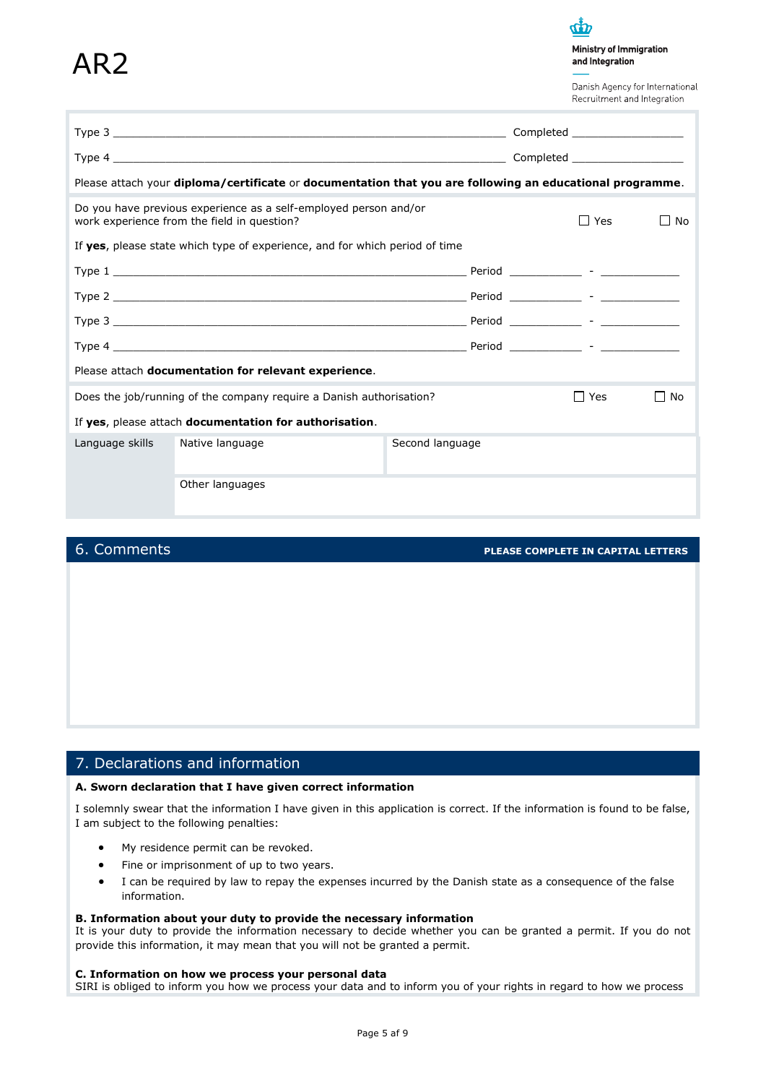# AR<sub>2</sub>

 $\boldsymbol{d}\boldsymbol{p}$ Ministry of Immigration and Integration

Danish Agency for International Recruitment and Integration

|                                                                                                          |                                                                                                                 |                 | Completed ____________________ |            |                    |  |  |
|----------------------------------------------------------------------------------------------------------|-----------------------------------------------------------------------------------------------------------------|-----------------|--------------------------------|------------|--------------------|--|--|
|                                                                                                          |                                                                                                                 |                 |                                |            |                    |  |  |
| Please attach your diploma/certificate or documentation that you are following an educational programme. |                                                                                                                 |                 |                                |            |                    |  |  |
|                                                                                                          | Do you have previous experience as a self-employed person and/or<br>work experience from the field in question? |                 |                                | $\Box$ Yes | No                 |  |  |
|                                                                                                          | If yes, please state which type of experience, and for which period of time                                     |                 |                                |            |                    |  |  |
|                                                                                                          |                                                                                                                 |                 |                                |            |                    |  |  |
|                                                                                                          |                                                                                                                 |                 |                                |            |                    |  |  |
|                                                                                                          |                                                                                                                 |                 |                                |            |                    |  |  |
|                                                                                                          |                                                                                                                 |                 |                                |            |                    |  |  |
|                                                                                                          | Please attach documentation for relevant experience.                                                            |                 |                                |            |                    |  |  |
|                                                                                                          | Does the job/running of the company require a Danish authorisation?                                             |                 |                                | $\Box$ Yes | No<br>$\mathsf{L}$ |  |  |
| If yes, please attach documentation for authorisation.                                                   |                                                                                                                 |                 |                                |            |                    |  |  |
| Language skills                                                                                          | Native language                                                                                                 | Second language |                                |            |                    |  |  |
|                                                                                                          | Other languages                                                                                                 |                 |                                |            |                    |  |  |

6. Comments **PLEASE COMPLETE IN CAPITAL LETTERS**

# 7. Declarations and information

#### **A. Sworn declaration that I have given correct information**

I solemnly swear that the information I have given in this application is correct. If the information is found to be false, I am subject to the following penalties:

- My residence permit can be revoked.
- Fine or imprisonment of up to two years.
- I can be required by law to repay the expenses incurred by the Danish state as a consequence of the false information.

#### **B. Information about your duty to provide the necessary information**

It is your duty to provide the information necessary to decide whether you can be granted a permit. If you do not provide this information, it may mean that you will not be granted a permit.

#### **C. Information on how we process your personal data**

SIRI is obliged to inform you how we process your data and to inform you of your rights in regard to how we process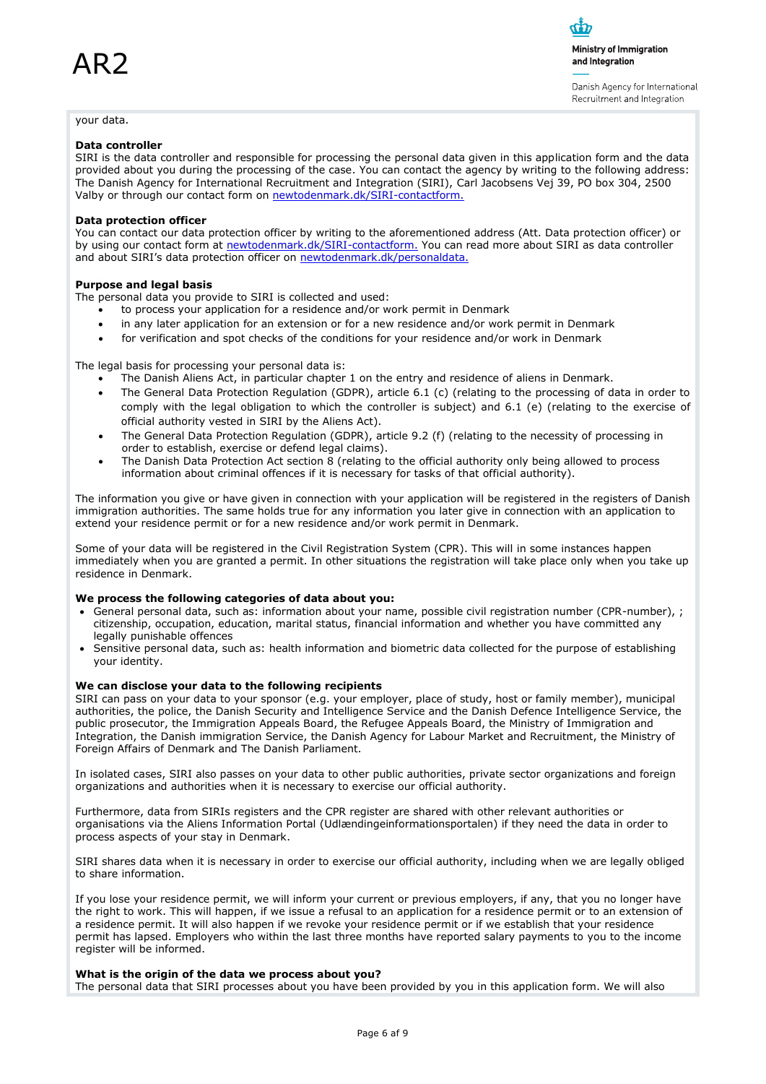Ministry of Immigration and Integration

Danish Agency for International Recruitment and Integration

#### your data.

#### **Data controller**

SIRI is the data controller and responsible for processing the personal data given in this application form and the data provided about you during the processing of the case. You can contact the agency by writing to the following address: The Danish Agency for International Recruitment and Integration (SIRI), Carl Jacobsens Vej 39, PO box 304, 2500 Valby or through our contact form on [newtodenmark.dk/SIRI-contactform.](http://www.newtodenmark.dk/SIRI-contactform)

#### **Data protection officer**

You can contact our data protection officer by writing to the aforementioned address (Att. Data protection officer) or by using our contact form at [newtodenmark.dk/SIRI-contactform.](http://www.newtodenmark.dk/SIRI-contactform) You can read more about SIRI as data controller and about SIRI's data protection officer on [newtodenmark.dk/personaldata.](http://www.newtodenmark.dk/personaldata)

#### **Purpose and legal basis**

The personal data you provide to SIRI is collected and used:

- to process your application for a residence and/or work permit in Denmark
- in any later application for an extension or for a new residence and/or work permit in Denmark
- for verification and spot checks of the conditions for your residence and/or work in Denmark

The legal basis for processing your personal data is:

- The Danish Aliens Act, in particular chapter 1 on the entry and residence of aliens in Denmark.
- The General Data Protection Regulation (GDPR), article 6.1 (c) (relating to the processing of data in order to comply with the legal obligation to which the controller is subject) and 6.1 (e) (relating to the exercise of official authority vested in SIRI by the Aliens Act).
- The General Data Protection Regulation (GDPR), article 9.2 (f) (relating to the necessity of processing in order to establish, exercise or defend legal claims).
- The Danish Data Protection Act section 8 (relating to the official authority only being allowed to process information about criminal offences if it is necessary for tasks of that official authority).

The information you give or have given in connection with your application will be registered in the registers of Danish immigration authorities. The same holds true for any information you later give in connection with an application to extend your residence permit or for a new residence and/or work permit in Denmark.

Some of your data will be registered in the Civil Registration System (CPR). This will in some instances happen immediately when you are granted a permit. In other situations the registration will take place only when you take up residence in Denmark.

#### **We process the following categories of data about you:**

- General personal data, such as: information about your name, possible civil registration number (CPR-number), ; citizenship, occupation, education, marital status, financial information and whether you have committed any legally punishable offences
- Sensitive personal data, such as: health information and biometric data collected for the purpose of establishing your identity.

#### **We can disclose your data to the following recipients**

SIRI can pass on your data to your sponsor (e.g. your employer, place of study, host or family member), municipal authorities, the police, the Danish Security and Intelligence Service and the Danish Defence Intelligence Service, the public prosecutor, the Immigration Appeals Board, the Refugee Appeals Board, the Ministry of Immigration and Integration, the Danish immigration Service, the Danish Agency for Labour Market and Recruitment, the Ministry of Foreign Affairs of Denmark and The Danish Parliament.

In isolated cases, SIRI also passes on your data to other public authorities, private sector organizations and foreign organizations and authorities when it is necessary to exercise our official authority.

Furthermore, data from SIRIs registers and the CPR register are shared with other relevant authorities or organisations via the Aliens Information Portal (Udlændingeinformationsportalen) if they need the data in order to process aspects of your stay in Denmark.

SIRI shares data when it is necessary in order to exercise our official authority, including when we are legally obliged to share information.

If you lose your residence permit, we will inform your current or previous employers, if any, that you no longer have the right to work. This will happen, if we issue a refusal to an application for a residence permit or to an extension of a residence permit. It will also happen if we revoke your residence permit or if we establish that your residence permit has lapsed. Employers who within the last three months have reported salary payments to you to the income register will be informed.

#### **What is the origin of the data we process about you?**

The personal data that SIRI processes about you have been provided by you in this application form. We will also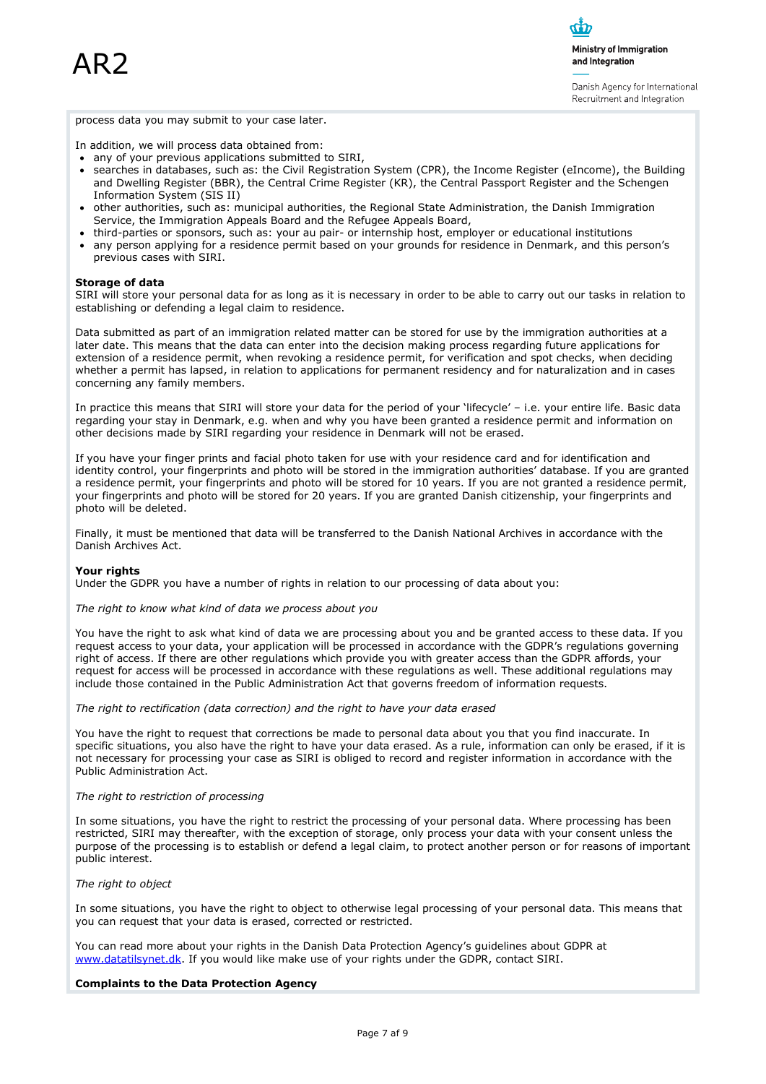Ministry of Immigration and Integration

Danish Agency for International Recruitment and Integration

process data you may submit to your case later.

In addition, we will process data obtained from:

- any of your previous applications submitted to SIRI,
- searches in databases, such as: the Civil Registration System (CPR), the Income Register (eIncome), the Building and Dwelling Register (BBR), the Central Crime Register (KR), the Central Passport Register and the Schengen Information System (SIS II)
- other authorities, such as: municipal authorities, the Regional State Administration, the Danish Immigration Service, the Immigration Appeals Board and the Refugee Appeals Board,
- third-parties or sponsors, such as: your au pair- or internship host, employer or educational institutions
- any person applying for a residence permit based on your grounds for residence in Denmark, and this person's previous cases with SIRI.

#### **Storage of data**

SIRI will store your personal data for as long as it is necessary in order to be able to carry out our tasks in relation to establishing or defending a legal claim to residence.

Data submitted as part of an immigration related matter can be stored for use by the immigration authorities at a later date. This means that the data can enter into the decision making process regarding future applications for extension of a residence permit, when revoking a residence permit, for verification and spot checks, when deciding whether a permit has lapsed, in relation to applications for permanent residency and for naturalization and in cases concerning any family members.

In practice this means that SIRI will store your data for the period of your 'lifecycle' – i.e. your entire life. Basic data regarding your stay in Denmark, e.g. when and why you have been granted a residence permit and information on other decisions made by SIRI regarding your residence in Denmark will not be erased.

If you have your finger prints and facial photo taken for use with your residence card and for identification and identity control, your fingerprints and photo will be stored in the immigration authorities' database. If you are granted a residence permit, your fingerprints and photo will be stored for 10 years. If you are not granted a residence permit, your fingerprints and photo will be stored for 20 years. If you are granted Danish citizenship, your fingerprints and photo will be deleted.

Finally, it must be mentioned that data will be transferred to the Danish National Archives in accordance with the Danish Archives Act.

#### **Your rights**

Under the GDPR you have a number of rights in relation to our processing of data about you:

*The right to know what kind of data we process about you*

You have the right to ask what kind of data we are processing about you and be granted access to these data. If you request access to your data, your application will be processed in accordance with the GDPR's regulations governing right of access. If there are other regulations which provide you with greater access than the GDPR affords, your request for access will be processed in accordance with these regulations as well. These additional regulations may include those contained in the Public Administration Act that governs freedom of information requests.

*The right to rectification (data correction) and the right to have your data erased*

You have the right to request that corrections be made to personal data about you that you find inaccurate. In specific situations, you also have the right to have your data erased. As a rule, information can only be erased, if it is not necessary for processing your case as SIRI is obliged to record and register information in accordance with the Public Administration Act.

#### *The right to restriction of processing*

In some situations, you have the right to restrict the processing of your personal data. Where processing has been restricted, SIRI may thereafter, with the exception of storage, only process your data with your consent unless the purpose of the processing is to establish or defend a legal claim, to protect another person or for reasons of important public interest.

#### *The right to object*

In some situations, you have the right to object to otherwise legal processing of your personal data. This means that you can request that your data is erased, corrected or restricted.

You can read more about your rights in the Danish Data Protection Agency's guidelines about GDPR at [www.datatilsynet.dk.](http://www.datatilsynet.dk/) If you would like make use of your rights under the GDPR, contact SIRI.

#### **Complaints to the Data Protection Agency**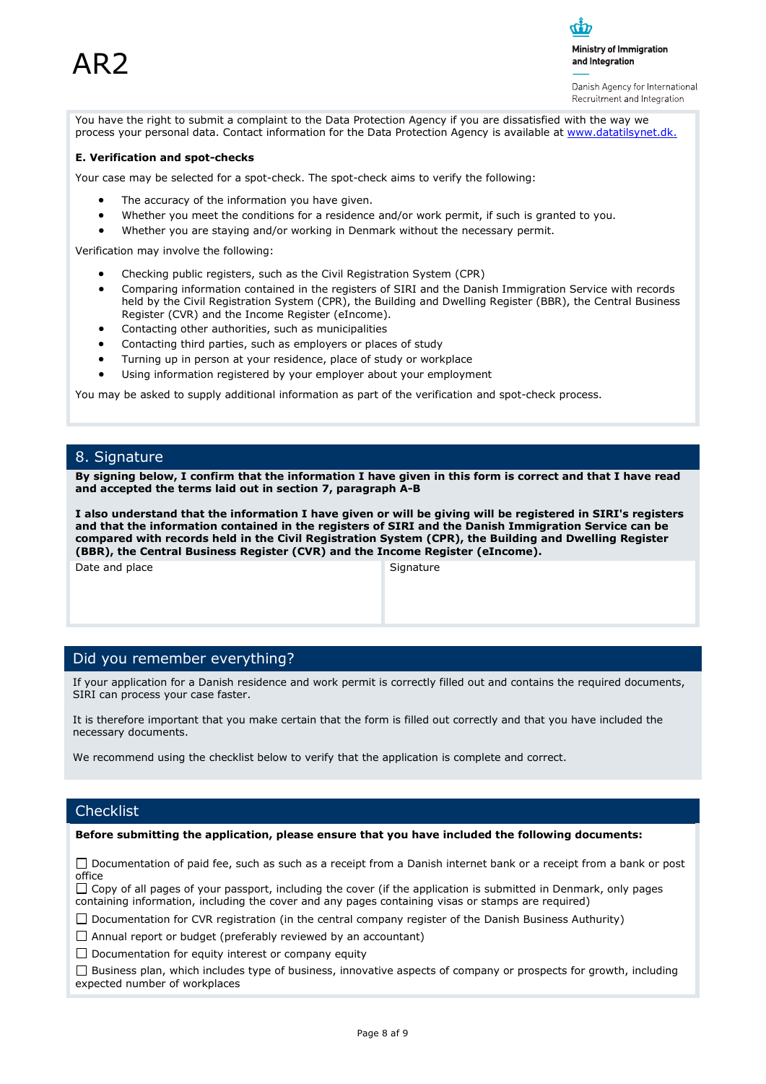Danish Agency for International Recruitment and Integration

You have the right to submit a complaint to the Data Protection Agency if you are dissatisfied with the way we process your personal data. Contact information for the Data Protection Agency is available at [www.datatilsynet.dk.](http://www.datatilsynet.dk/)

#### **E. Verification and spot-checks**

Your case may be selected for a spot-check. The spot-check aims to verify the following:

- The accuracy of the information you have given.
- Whether you meet the conditions for a residence and/or work permit, if such is granted to you.
- Whether you are staying and/or working in Denmark without the necessary permit.

Verification may involve the following:

- Checking public registers, such as the Civil Registration System (CPR)
- Comparing information contained in the registers of SIRI and the Danish Immigration Service with records held by the Civil Registration System (CPR), the Building and Dwelling Register (BBR), the Central Business Register (CVR) and the Income Register (eIncome).
- Contacting other authorities, such as municipalities
- Contacting third parties, such as employers or places of study
- Turning up in person at your residence, place of study or workplace
- Using information registered by your employer about your employment

You may be asked to supply additional information as part of the verification and spot-check process.

### 8. Signature

**By signing below, I confirm that the information I have given in this form is correct and that I have read and accepted the terms laid out in section 7, paragraph A-B**

**I also understand that the information I have given or will be giving will be registered in SIRI's registers and that the information contained in the registers of SIRI and the Danish Immigration Service can be compared with records held in the Civil Registration System (CPR), the Building and Dwelling Register (BBR), the Central Business Register (CVR) and the Income Register (eIncome).**

Date and place Signature Signature

### Did you remember everything?

If your application for a Danish residence and work permit is correctly filled out and contains the required documents, SIRI can process your case faster.

It is therefore important that you make certain that the form is filled out correctly and that you have included the necessary documents.

We recommend using the checklist below to verify that the application is complete and correct.

### **Checklist**

**Before submitting the application, please ensure that you have included the following documents:**

□ Documentation of paid fee, such as such as a receipt from a Danish internet bank or a receipt from a bank or post office

 $\Box$  Copy of all pages of your passport, including the cover (if the application is submitted in Denmark, only pages containing information, including the cover and any pages containing visas or stamps are required)

 $\Box$  Documentation for CVR registration (in the central company register of the Danish Business Authurity)

Annual report or budget (preferably reviewed by an accountant)

 $\Box$  Documentation for equity interest or company equity

 $\Box$  Business plan, which includes type of business, innovative aspects of company or prospects for growth, including expected number of workplaces